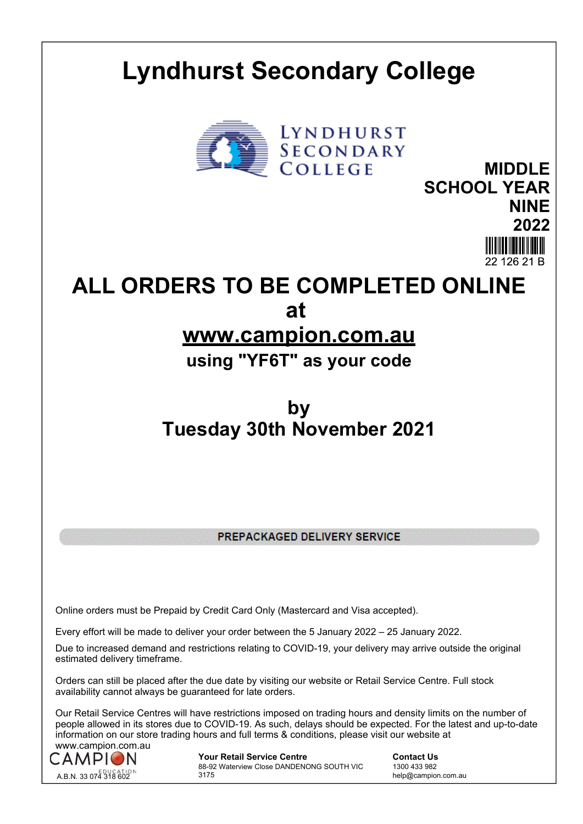## **Lyndhurst Secondary College**



**MIDDLE SCHOOL YEAR NINE 2022**

**ALL ORDERS TO BE COMPLETED ONLINE at** 

## **www.campion.com.au**

**using "YF6T" as your code**

## **by Tuesday 30th November 2021**

PREPACKAGED DELIVERY SERVICE

Online orders must be Prepaid by Credit Card Only (Mastercard and Visa accepted).

Every effort will be made to deliver your order between the 5 January 2022 – 25 January 2022.

Due to increased demand and restrictions relating to COVID-19, your delivery may arrive outside the original estimated delivery timeframe.

Orders can still be placed after the due date by visiting our website or Retail Service Centre. Full stock availability cannot always be guaranteed for late orders.

Our Retail Service Centres will have restrictions imposed on trading hours and density limits on the number of people allowed in its stores due to COVID-19. As such, delays should be expected. For the latest and up-to-date information on our store trading hours and full terms & conditions, please visit our website at www.campion.com.au



**Your Retail Service Centre Contact Us** 88-92 Waterview Close DANDENONG SOUTH VIC 3175

1300 433 982 help@campion.com.au